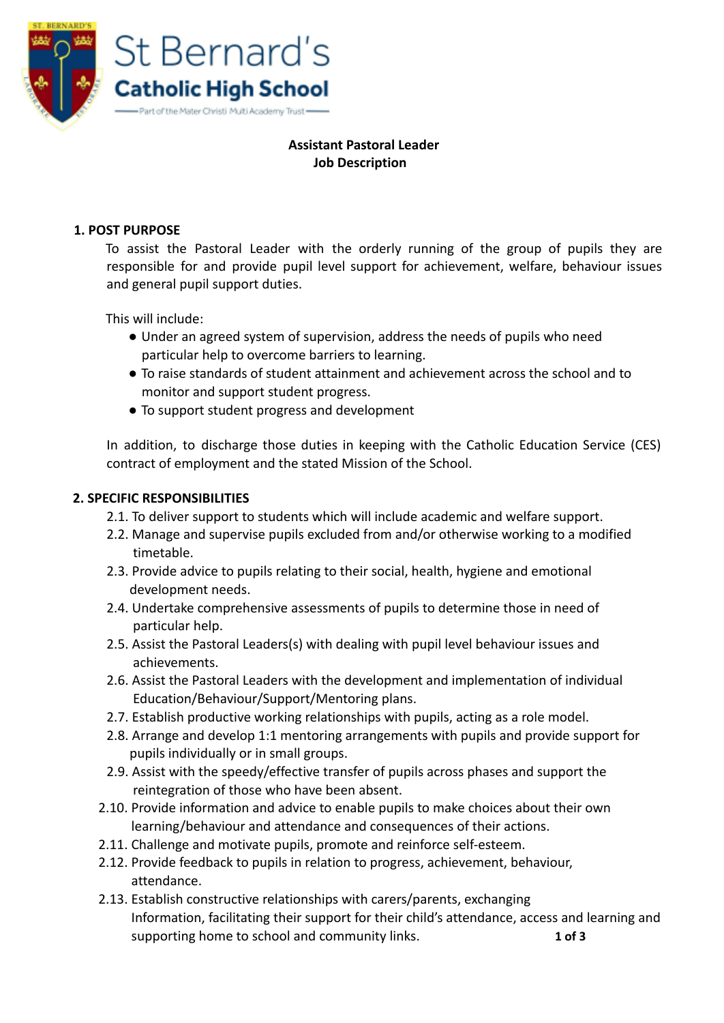

## **Assistant Pastoral Leader Job Description**

#### **1. POST PURPOSE**

To assist the Pastoral Leader with the orderly running of the group of pupils they are responsible for and provide pupil level support for achievement, welfare, behaviour issues and general pupil support duties.

This will include:

- Under an agreed system of supervision, address the needs of pupils who need particular help to overcome barriers to learning.
- To raise standards of student attainment and achievement across the school and to monitor and support student progress.
- To support student progress and development

In addition, to discharge those duties in keeping with the Catholic Education Service (CES) contract of employment and the stated Mission of the School.

### **2. SPECIFIC RESPONSIBILITIES**

- 2.1. To deliver support to students which will include academic and welfare support.
- 2.2. Manage and supervise pupils excluded from and/or otherwise working to a modified timetable.
- 2.3. Provide advice to pupils relating to their social, health, hygiene and emotional development needs.
- 2.4. Undertake comprehensive assessments of pupils to determine those in need of particular help.
- 2.5. Assist the Pastoral Leaders(s) with dealing with pupil level behaviour issues and achievements.
- 2.6. Assist the Pastoral Leaders with the development and implementation of individual Education/Behaviour/Support/Mentoring plans.
- 2.7. Establish productive working relationships with pupils, acting as a role model.
- 2.8. Arrange and develop 1:1 mentoring arrangements with pupils and provide support for pupils individually or in small groups.
- 2.9. Assist with the speedy/effective transfer of pupils across phases and support the reintegration of those who have been absent.
- 2.10. Provide information and advice to enable pupils to make choices about their own learning/behaviour and attendance and consequences of their actions.
- 2.11. Challenge and motivate pupils, promote and reinforce self-esteem.
- 2.12. Provide feedback to pupils in relation to progress, achievement, behaviour, attendance.
- 2.13. Establish constructive relationships with carers/parents, exchanging Information, facilitating their support for their child's attendance, access and learning and supporting home to school and community links. **1 of 3**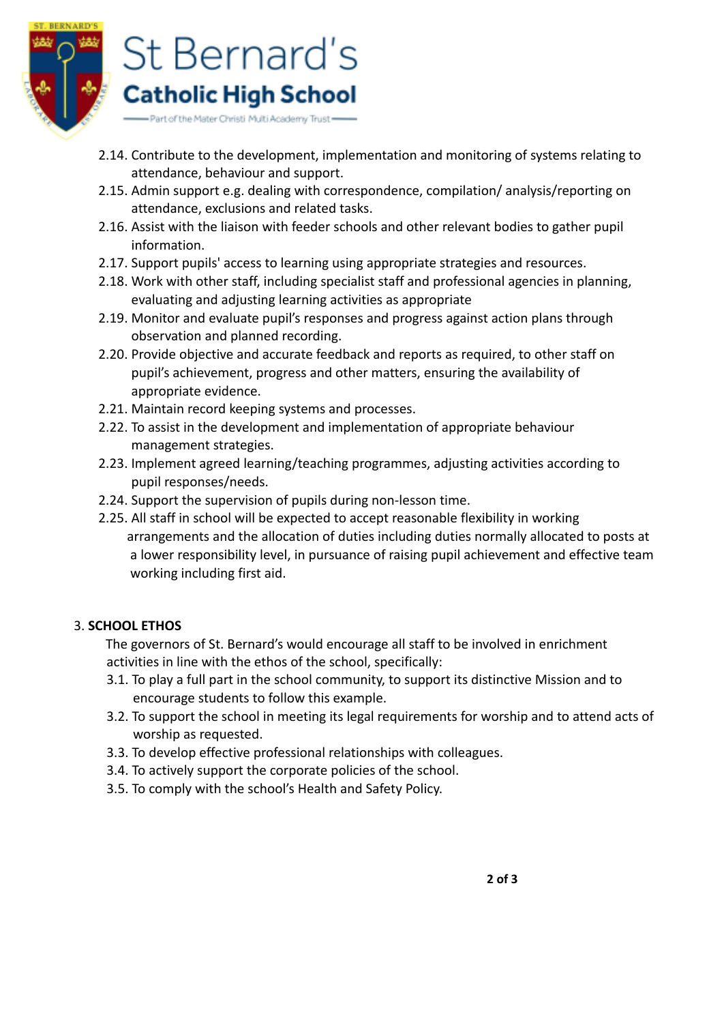

- 2.14. Contribute to the development, implementation and monitoring of systems relating to attendance, behaviour and support.
- 2.15. Admin support e.g. dealing with correspondence, compilation/ analysis/reporting on attendance, exclusions and related tasks.
- 2.16. Assist with the liaison with feeder schools and other relevant bodies to gather pupil information.
- 2.17. Support pupils' access to learning using appropriate strategies and resources.
- 2.18. Work with other staff, including specialist staff and professional agencies in planning, evaluating and adjusting learning activities as appropriate
- 2.19. Monitor and evaluate pupil's responses and progress against action plans through observation and planned recording.
- 2.20. Provide objective and accurate feedback and reports as required, to other staff on pupil's achievement, progress and other matters, ensuring the availability of appropriate evidence.
- 2.21. Maintain record keeping systems and processes.
- 2.22. To assist in the development and implementation of appropriate behaviour management strategies.
- 2.23. Implement agreed learning/teaching programmes, adjusting activities according to pupil responses/needs.
- 2.24. Support the supervision of pupils during non-lesson time.
- 2.25. All staff in school will be expected to accept reasonable flexibility in working arrangements and the allocation of duties including duties normally allocated to posts at a lower responsibility level, in pursuance of raising pupil achievement and effective team working including first aid.

# 3. **SCHOOL ETHOS**

The governors of St. Bernard's would encourage all staff to be involved in enrichment activities in line with the ethos of the school, specifically:

- 3.1. To play a full part in the school community, to support its distinctive Mission and to encourage students to follow this example.
- 3.2. To support the school in meeting its legal requirements for worship and to attend acts of worship as requested.
- 3.3. To develop effective professional relationships with colleagues.
- 3.4. To actively support the corporate policies of the school.
- 3.5. To comply with the school's Health and Safety Policy.